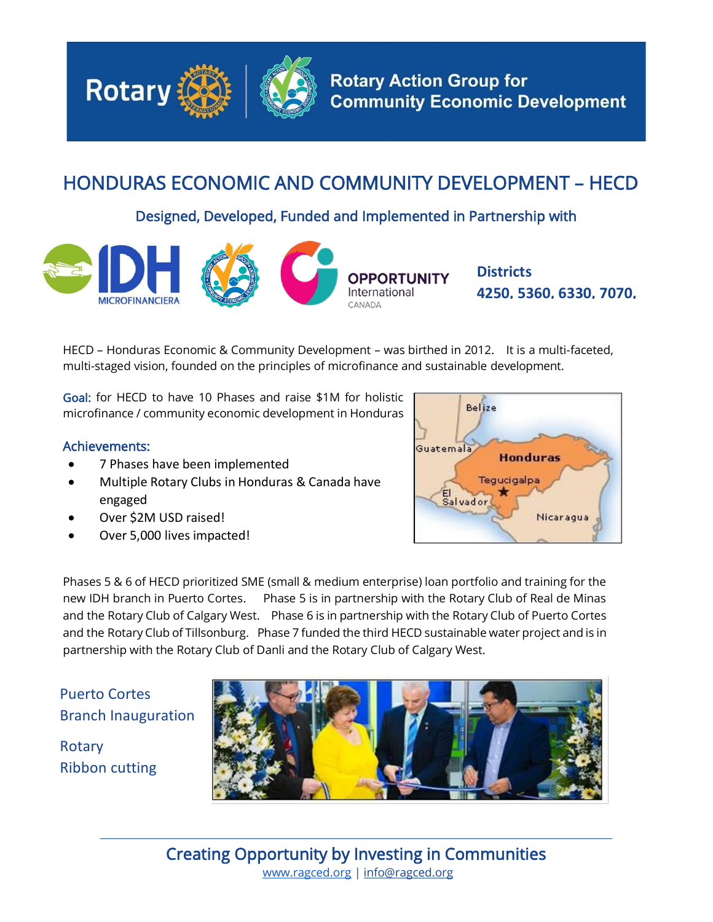

## HONDURAS ECONOMIC AND COMMUNITY DEVELOPMENT – HECD

Designed, Developed, Funded and Implemented in Partnership with



**Districts 4250, 5360, 6330, 7070,** 

HECD – Honduras Economic & Community Development – was birthed in 2012. It is a multi-faceted, multi-staged vision, founded on the principles of microfinance and sustainable development.

Goal: for HECD to have 10 Phases and raise \$1M for holistic microfinance / community economic development in Honduras

## Achievements:

- 7 Phases have been implemented
- Multiple Rotary Clubs in Honduras & Canada have engaged
- Over \$2M USD raised!
- Over 5,000 lives impacted!



Phases 5 & 6 of HECD prioritized SME (small & medium enterprise) loan portfolio and training for the new IDH branch in Puerto Cortes. Phase 5 is in partnership with the Rotary Club of Real de Minas and the Rotary Club of Calgary West. Phase 6 is in partnership with the Rotary Club of Puerto Cortes and the Rotary Club of Tillsonburg. Phase 7 funded the third HECD sustainable water project and is in partnership with the Rotary Club of Danli and the Rotary Club of Calgary West.

Puerto Cortes Branch Inauguration

Rotary Ribbon cutting